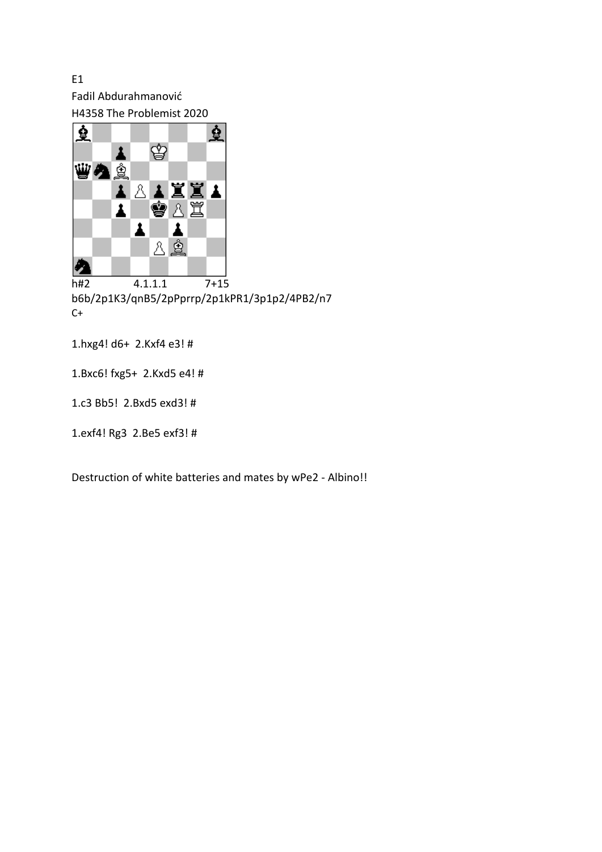E1 Fadil Abdurahmanović H4358 The Problemist 2020



h#2 4.1.1.1 7+15 b6b/2p1K3/qnB5/2pPprrp/2p1kPR1/3p1p2/4PB2/n7  $C+$ 

1.hxg4! d6+ 2.Kxf4 e3! #

1.Bxc6! fxg5+ 2.Kxd5 e4! #

1.c3 Bb5! 2.Bxd5 exd3! #

1.exf4! Rg3 2.Be5 exf3! #

Destruction of white batteries and mates by wPe2 - Albino!!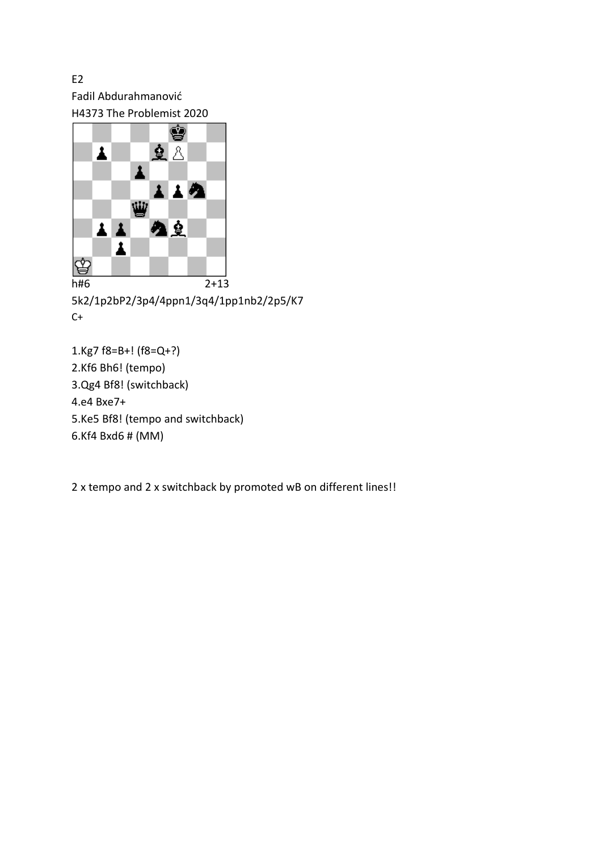E2 Fadil Abdurahmanović H4373 The Problemist 2020



5k2/1p2bP2/3p4/4ppn1/3q4/1pp1nb2/2p5/K7  $C+$ 

1.Kg7 f8=B+! (f8=Q+?) 2.Kf6 Bh6! (tempo) 3.Qg4 Bf8! (switchback) 4.e4 Bxe7+ 5.Ke5 Bf8! (tempo and switchback) 6.Kf4 Bxd6 # (MM)

2 x tempo and 2 x switchback by promoted wB on different lines!!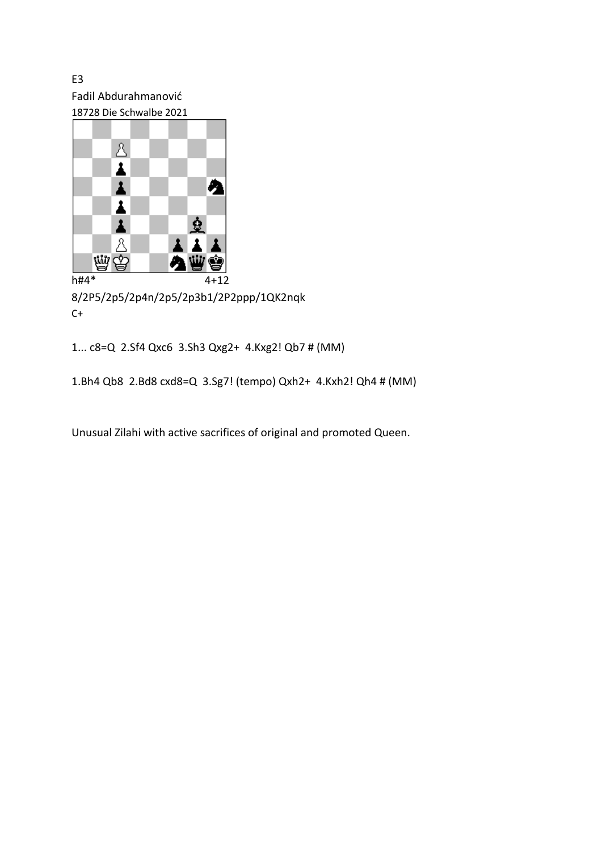E3 Fadil Abdurahmanović 18728 Die Schwalbe 2021



8/2P5/2p5/2p4n/2p5/2p3b1/2P2ppp/1QK2nqk  $C+$ 

1... c8=Q 2.Sf4 Qxc6 3.Sh3 Qxg2+ 4.Kxg2! Qb7 # (MM)

1.Bh4 Qb8 2.Bd8 cxd8=Q 3.Sg7! (tempo) Qxh2+ 4.Kxh2! Qh4 # (MM)

Unusual Zilahi with active sacrifices of original and promoted Queen.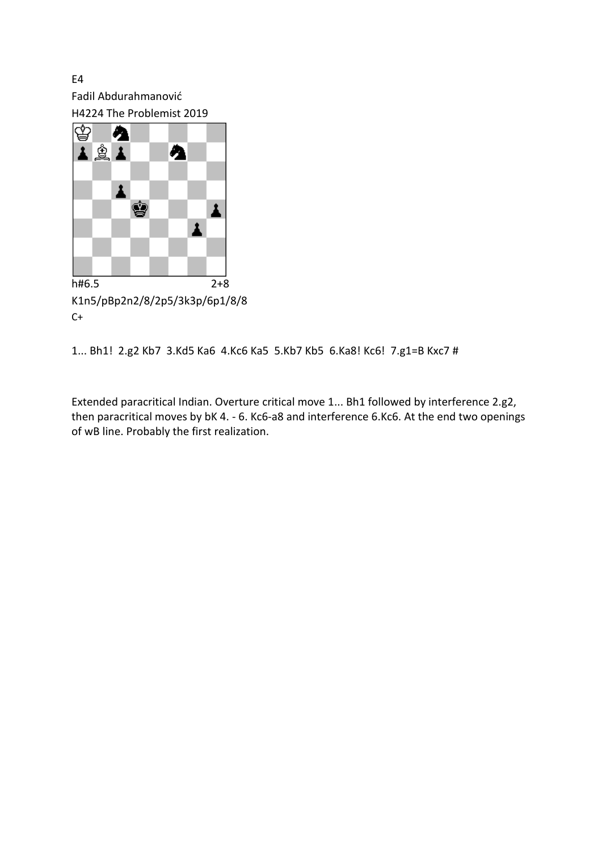E4 Fadil Abdurahmanović H4224 The Problemist 2019



K1n5/pBp2n2/8/2p5/3k3p/6p1/8/8  $C+$ 

1... Bh1! 2.g2 Kb7 3.Kd5 Ka6 4.Kc6 Ka5 5.Kb7 Kb5 6.Ka8! Kc6! 7.g1=B Kxc7 #

Extended paracritical Indian. Overture critical move 1... Bh1 followed by interference 2.g2, then paracritical moves by bK 4. - 6. Kc6-a8 and interference 6.Kc6. At the end two openings of wB line. Probably the first realization.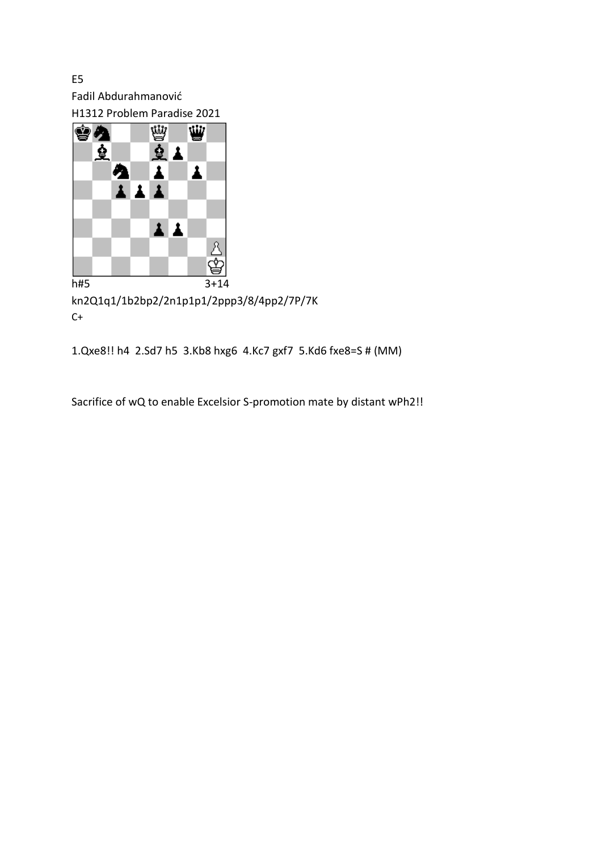E5 Fadil Abdurahmanović





kn2Q1q1/1b2bp2/2n1p1p1/2ppp3/8/4pp2/7P/7K  $C+$ 

1.Qxe8!! h4 2.Sd7 h5 3.Kb8 hxg6 4.Kc7 gxf7 5.Kd6 fxe8=S # (MM)

Sacrifice of wQ to enable Excelsior S-promotion mate by distant wPh2!!